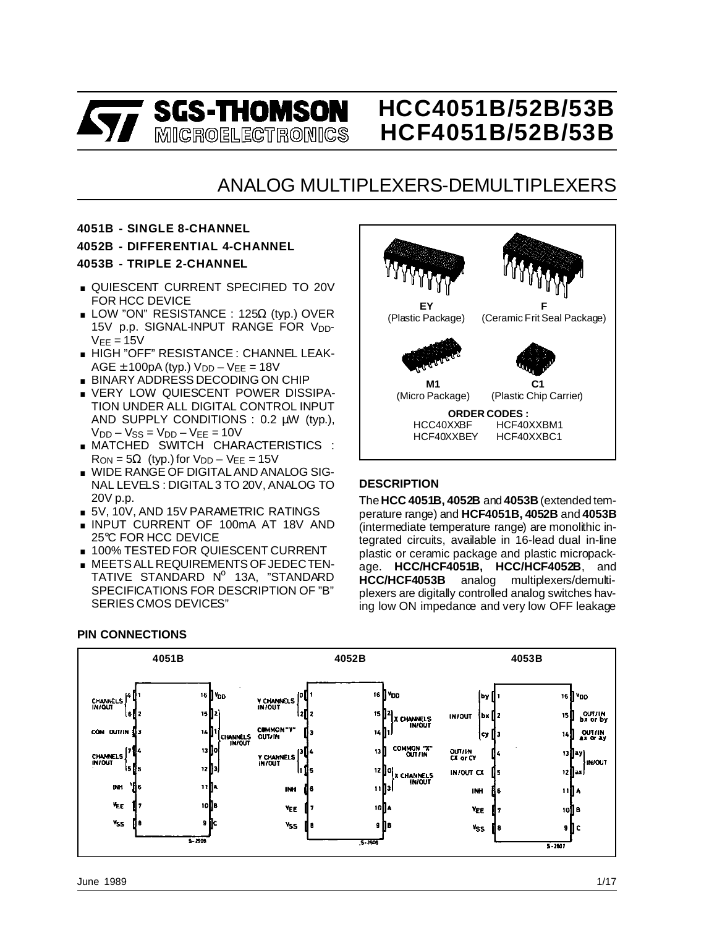

# **HCC4051B/52B/53B HCF4051B/52B/53B**

# ANALOG MULTIPLEXERS-DEMULTIPLEXERS

#### **4051B - SINGLE 8-CHANNEL**

**4052B - DIFFERENTIAL 4-CHANNEL**

#### **4053B - TRIPLE 2-CHANNEL**

- **QUIESCENT CURRENT SPECIFIED TO 20V** FOR HCC DEVICE
- **LOW "ON" RESISTANCE : 125Ω (typ.) OVER** 15V p.p. SIGNAL-INPUT RANGE FOR V<sub>DD</sub>- $V<sub>EE</sub> = 15V$
- . HIGH "OFF" RESISTANCE : CHANNEL LEAK- $AGE ± 100pA (typ.) V<sub>DD</sub> - V<sub>EE</sub> = 18V$ ■ HIGH "OFF" RESISTANCE : CHANNEL LI<br>AGE ± 100pA (typ.)  $V_{DD} - V_{EE} = 18V$ <br>■ BINARY ADDRESS DECODING ON CHIP
- 
- AGE ± 100pA (typ.)  $V_{DD} V_{EE} = 18V$ <br>■ BINARY ADDRESS DECODING ON CHIP<br>■ VERY LOW QUIESCENT POWER DISSIPA-<br>TIONLINDER ALL DICITAL CONTROL INDUT TION UNDER ALL DIGITAL CONTROL INPUT AND SUPPLY CONDITIONS : 0.2 µW (typ.),  $V<sub>DD</sub> - V<sub>SS</sub> = V<sub>DD</sub> - V<sub>EE</sub> = 10V$
- . MATCHED SWITCH CHARACTERISTICS :  $R_{ON} = 5\Omega$  (typ.) for  $V_{DD} - V_{EE} = 15V$
- . WIDE RANGE OF DIGITAL AND ANALOG SIG-NAL LEVELS : DIGITAL 3 TO 20V, ANALOG TO 20V p.p.
- **5V, 10V, AND 15V PARAMETRIC RATINGS**
- 20V p.p.<br>■ 5V, 10V, AND 15V PARAMETRIC RATINGS<br>■ INPUT CURRENT OF 100mA AT 18V AND 25°C FOR HCC DEVICE ■ INPUT CURRENT OF 100mA AT 18V AN<br>25℃ FOR HCC DEVICE<br>■ 100% TESTED FOR QUIESCENT CURRENT<br>MEETS ALL REQUIREMENTS OF LEDECTEN
- 100% TESTED FOR QUIESCENT CURRENT<br>■ MEETS ALL REQUIREMENTS OF JEDECTEN-
- TATIVE STANDARD Nº 13A, "STANDARD SPECIFICATIONS FOR DESCRIPTION OF "B" SERIES CMOS DEVICES"



#### **DESCRIPTION**

The **HCC 4051B, 4052B** and **4053B** (extended temperature range) and **HCF4051B, 4052B** and **4053B** (intermediate temperature range) are monolithic integrated circuits, available in 16-lead dual in-line plastic or ceramic package and plastic micropackage. **HCC/HCF4051B, HCC/HCF4052B**, and **HCC/HCF4053B** analog multiplexers/demultiplexers are digitally controlled analog switches having low ON impedance and very low OFF leakage

#### **PIN CONNECTIONS**

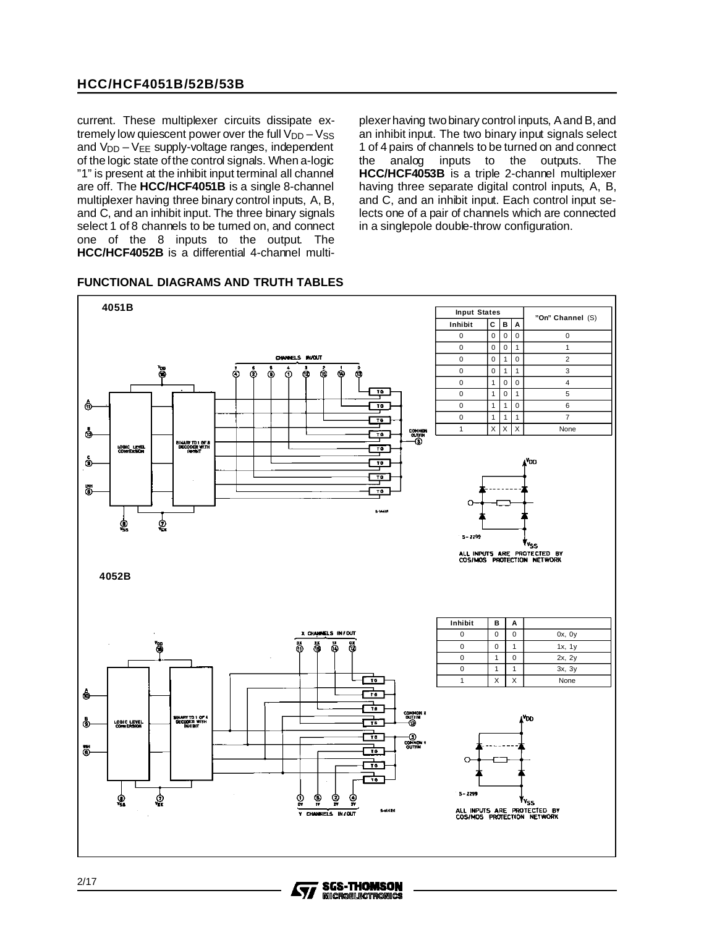current. These multiplexer circuits dissipate extremely low quiescent power over the full  $V_{DD} - V_{SS}$ and  $V_{DD} - V_{EE}$  supply-voltage ranges, independent of the logic state ofthe control signals. When a-logic "1" is present at the inhibit input terminal all channel are off. The **HCC/HCF4051B** is a single 8-channel multiplexer having three binary control inputs, A, B, and C, and an inhibit input. The three binary signals select 1 of 8 channels to be turned on, and connect one of the 8 inputs to the output. The **HCC/HCF4052B** is a differential 4-channel multiplexer having two binary control inputs, A and B, and an inhibit input. The two binary input signals select 1 of 4 pairs of channels to be turned on and connect the analog inputs to the outputs. The **HCC/HCF4053B** is a triple 2-channel multiplexer having three separate digital control inputs, A, B, and C, and an inhibit input. Each control input selects one of a pair of channels which are connected in a singlepole double-throw configuration.



#### **FUNCTIONAL DIAGRAMS AND TRUTH TABLES**

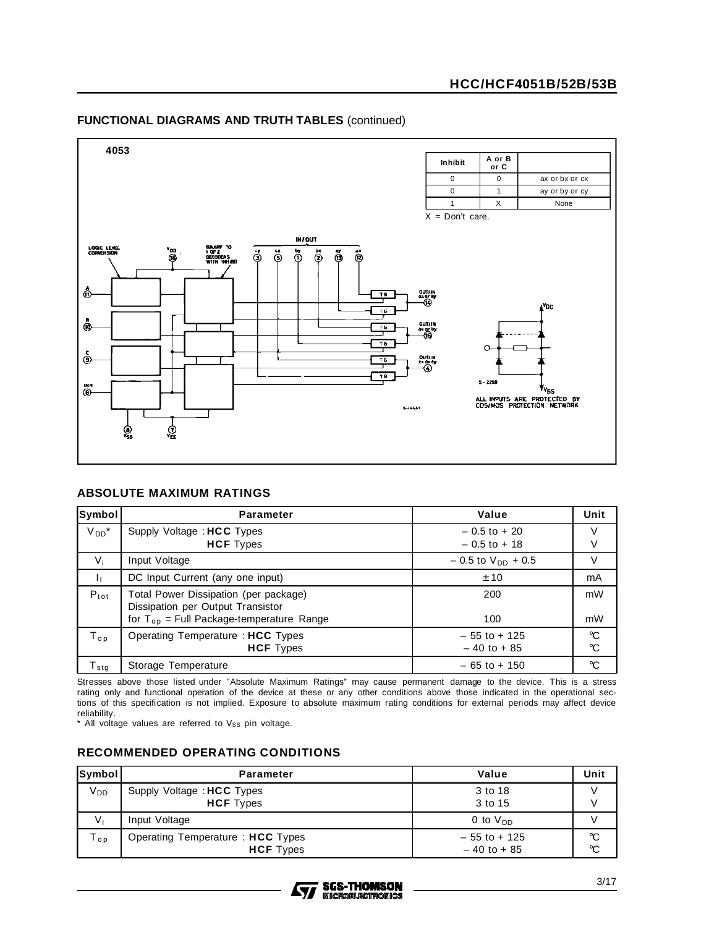#### **FUNCTIONAL DIAGRAMS AND TRUTH TABLES** (continued)



#### **ABSOLUTE MAXIMUM RATINGS**

| Symbol        | <b>Parameter</b>                                                           | Value                    | Unit            |
|---------------|----------------------------------------------------------------------------|--------------------------|-----------------|
| $V_{DD}$ *    | Supply Voltage: HCC Types                                                  | $-0.5$ to $+20$          | V               |
|               | <b>HCF</b> Types                                                           | $-0.5$ to $+18$          | V               |
| $V_i$         | Input Voltage                                                              | $-0.5$ to $V_{DD}$ + 0.5 | V               |
| ı,            | DC Input Current (any one input)                                           | ± 10                     | mA              |
| $P_{tot}$     | Total Power Dissipation (per package)<br>Dissipation per Output Transistor | 200                      | mW              |
|               | for $T_{op}$ = Full Package-temperature Range                              | 100                      | mW              |
| $T_{op}$      | Operating Temperature: HCC Types                                           | $-55$ to $+125$          | $^{\circ}C$     |
|               | <b>HCF</b> Types                                                           | $-40$ to $+85$           | $\rm ^{\circ}C$ |
| $T_{\tt sta}$ | Storage Temperature                                                        | $-65$ to $+150$          | $\rm ^{\circ}C$ |

Stresses above those listed under "Absolute Maximum Ratings" may cause permanent damage to the device. This is a stress rating only and functional operation of the device at these or any other conditions above those indicated in the operational sections of this specification is not implied. Exposure to absolute maximum rating conditions for external periods may affect device reliability.

 $*$  All voltage values are referred to  $V_{SS}$  pin voltage.

#### **RECOMMENDED OPERATING CONDITIONS**

| <b>Symbol</b>   | <b>Parameter</b>                                     | Value                             | Unit                               |
|-----------------|------------------------------------------------------|-----------------------------------|------------------------------------|
| V <sub>DD</sub> | Supply Voltage: HCC Types<br><b>HCF</b> Types        | 3 to 18<br>3 to 15                |                                    |
| $V_{1}$         | Input Voltage                                        | 0 to $V_{DD}$                     |                                    |
| $T_{op}$        | Operating Temperature: HCC Types<br><b>HCF</b> Types | $-55$ to $+125$<br>$-40$ to $+85$ | $\rm ^{\circ}C$<br>$\rm ^{\circ}C$ |

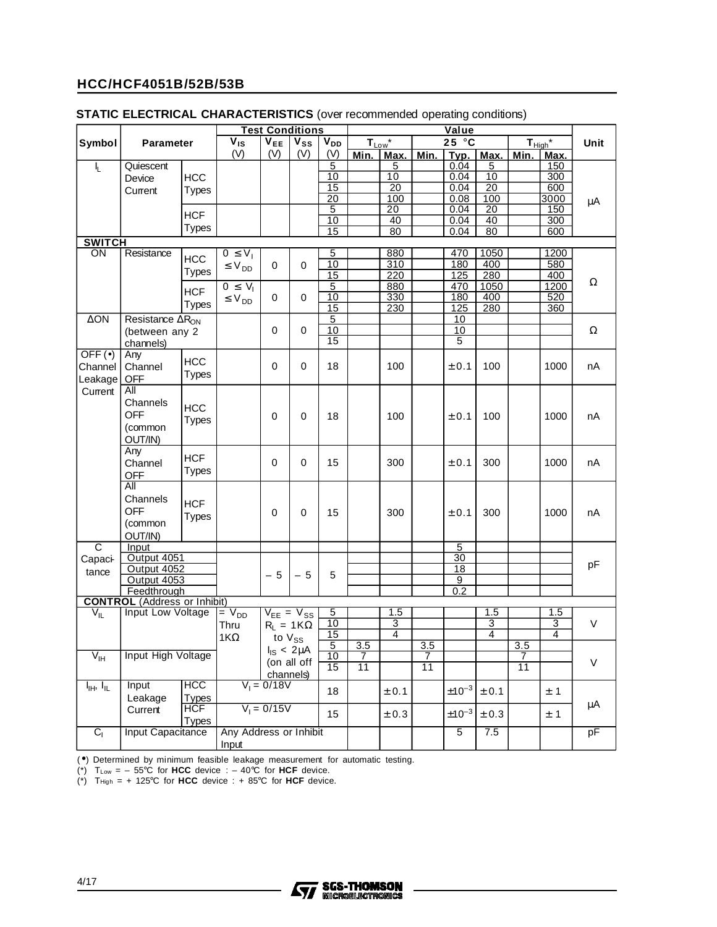|                                   |                                       |                            |                        | <b>Test Conditions</b><br>Value |                                       |                 |                  |                 |                 |                |                 |                     |      |      |
|-----------------------------------|---------------------------------------|----------------------------|------------------------|---------------------------------|---------------------------------------|-----------------|------------------|-----------------|-----------------|----------------|-----------------|---------------------|------|------|
| Symbol                            | <b>Parameter</b>                      |                            | $\overline{V}_{IS}$    | $V_{EE}$                        | $\overline{\mathsf{v}}_{\mathsf{ss}}$ | V <sub>DD</sub> |                  | $T_{Low}^*$     |                 | 25 °C          |                 | $T_{\text{High}}^*$ |      | Unit |
|                                   |                                       |                            | (V)                    | (V)                             | (V)                                   | (V)             | Min.             | Max.            | Min.            |                | $Typ.$ Max.     | Min.                | Max. |      |
| I <sub>L</sub>                    | Quiescent                             |                            |                        |                                 |                                       | 5               |                  | 5               |                 | 0.04           | 5               |                     | 150  |      |
|                                   | Device                                | <b>HCC</b>                 |                        |                                 |                                       | 10              |                  | 10              |                 | 0.04           | 10              |                     | 300  |      |
|                                   |                                       |                            |                        |                                 |                                       | $\overline{15}$ |                  | $\overline{20}$ |                 | 0.04           | $\overline{20}$ |                     | 600  |      |
|                                   | Current                               | Types                      |                        |                                 |                                       | $\overline{20}$ |                  | 100             |                 | 0.08           | 100             |                     | 3000 |      |
|                                   |                                       |                            |                        |                                 |                                       | $\overline{5}$  |                  | $\overline{20}$ |                 | 0.04           | 20              |                     | 150  | μA   |
|                                   |                                       | <b>HCF</b>                 |                        |                                 |                                       | 10              |                  | 40              |                 | 0.04           | 40              |                     | 300  |      |
|                                   |                                       | <b>Types</b>               |                        |                                 |                                       | 15              |                  | 80              |                 | 0.04           | 80              |                     | 600  |      |
| <b>SWITCH</b>                     |                                       |                            |                        |                                 |                                       |                 |                  |                 |                 |                |                 |                     |      |      |
| ON                                | Resistance                            |                            | $0 \leq V_1$           |                                 |                                       | 5               |                  | 880             |                 | 470            | 1050            |                     | 1200 |      |
|                                   |                                       | <b>HCC</b>                 | $\leq V_{DD}$          | 0                               | $\mathbf 0$                           | 10              |                  | 310             |                 | 180            | 400             |                     | 580  |      |
|                                   |                                       | <b>Types</b>               |                        |                                 |                                       | 15              |                  | 220             |                 | 125            | 280             |                     | 400  |      |
|                                   |                                       | <b>HCF</b>                 | $0 \leq V_1$           |                                 |                                       | $\overline{5}$  |                  | 880             |                 | 470            | 1050            |                     | 1200 | Ω    |
|                                   |                                       |                            | $\leq$ V <sub>DD</sub> | 0                               | 0                                     | 10              |                  | 330             |                 | 180            | 400             |                     | 520  |      |
|                                   |                                       | <b>Types</b>               |                        |                                 |                                       | 15              |                  | 230             |                 | 125            | 280             |                     | 360  |      |
| $\Delta ON$                       | Resistance $\overline{\Delta R_{ON}}$ |                            |                        |                                 |                                       | 5               |                  |                 |                 | 10             |                 |                     |      |      |
|                                   | (between any 2                        |                            |                        | $\mathbf 0$                     | 0                                     | 10              |                  |                 |                 | 10             |                 |                     |      | Ω    |
|                                   | channels)                             |                            |                        |                                 |                                       | $\overline{15}$ |                  |                 |                 | 5              |                 |                     |      |      |
| $OFF(\bullet)$                    | Any                                   |                            |                        |                                 |                                       |                 |                  |                 |                 |                |                 |                     |      |      |
| Channel                           | Channel                               | <b>HCC</b>                 |                        | $\Omega$                        | $\Omega$                              | 18              |                  | 100             |                 | ± 0.1          | 100             |                     | 1000 | nA   |
| Leakage                           | <b>OFF</b>                            | <b>Types</b>               |                        |                                 |                                       |                 |                  |                 |                 |                |                 |                     |      |      |
| Current                           | All                                   |                            |                        |                                 |                                       |                 |                  |                 |                 |                |                 |                     |      |      |
|                                   | Channels                              |                            |                        |                                 |                                       |                 |                  |                 |                 |                |                 |                     |      |      |
|                                   | <b>OFF</b>                            | <b>HCC</b>                 |                        |                                 |                                       |                 |                  |                 |                 |                |                 |                     |      |      |
|                                   |                                       | <b>Types</b>               |                        | 0                               | 0                                     | 18              |                  | 100             |                 | ± 0.1          | 100             |                     | 1000 | nA   |
|                                   | (common                               |                            |                        |                                 |                                       |                 |                  |                 |                 |                |                 |                     |      |      |
|                                   | OUT/IN)                               |                            |                        |                                 |                                       |                 |                  |                 |                 |                |                 |                     |      |      |
|                                   | Any                                   | <b>HCF</b>                 |                        |                                 |                                       |                 |                  |                 |                 |                |                 |                     |      |      |
|                                   | Channel                               | Types                      |                        | 0                               | 0                                     | 15              |                  | 300             |                 | ± 0.1          | 300             |                     | 1000 | nA   |
|                                   | <b>OFF</b>                            |                            |                        |                                 |                                       |                 |                  |                 |                 |                |                 |                     |      |      |
|                                   | All                                   |                            |                        |                                 |                                       |                 |                  |                 |                 |                |                 |                     |      |      |
|                                   | Channels                              | <b>HCF</b>                 |                        |                                 |                                       |                 |                  |                 |                 |                |                 |                     |      |      |
|                                   | <b>OFF</b>                            |                            |                        | $\mathbf 0$                     | 0                                     | 15              |                  | 300             |                 | $\pm$ 0.1      | 300             |                     | 1000 | nA   |
|                                   | (common                               | <b>Types</b>               |                        |                                 |                                       |                 |                  |                 |                 |                |                 |                     |      |      |
|                                   | OUT/IN)                               |                            |                        |                                 |                                       |                 |                  |                 |                 |                |                 |                     |      |      |
| $\overline{c}$                    | Input                                 |                            |                        |                                 |                                       |                 |                  |                 |                 | $\overline{5}$ |                 |                     |      |      |
| Capaci-                           | Output 4051                           |                            |                        |                                 |                                       |                 |                  |                 |                 | 30             |                 |                     |      |      |
| tance                             | Output 4052                           |                            |                        |                                 |                                       |                 |                  |                 |                 | 18             |                 |                     |      | pF   |
|                                   | Output 4053                           |                            |                        | $-5$                            | $-5$                                  | 5               |                  |                 |                 | 9              |                 |                     |      |      |
|                                   | Feedthrough                           |                            |                        |                                 |                                       |                 |                  |                 |                 | 0.2            |                 |                     |      |      |
|                                   | <b>CONTROL</b> (Address or Inhibit)   |                            |                        |                                 |                                       |                 |                  |                 |                 |                |                 |                     |      |      |
| $V_{IL}$                          | Input Low Voltage                     |                            | $= V_{DD}$             |                                 | $V_{EE} = V_{SS}$                     | 5               |                  | 1.5             |                 |                | 1.5             |                     | 1.5  |      |
|                                   |                                       |                            | Thru                   |                                 | $R_1 = 1K\Omega$                      | 10              |                  | $\overline{3}$  |                 |                | $\overline{3}$  |                     | 3    | V    |
|                                   |                                       |                            | 1 $K\Omega$            | to $V_{SS}$                     |                                       | 15              |                  | $\overline{4}$  |                 |                | $\overline{4}$  |                     | 4    |      |
|                                   |                                       |                            |                        | $I_{IS}$ < 2µA                  |                                       | $\overline{5}$  | $\overline{3.5}$ |                 | $\frac{3.5}{7}$ |                |                 | $\overline{3.5}$    |      |      |
| $V_{\text{IH}}$                   | Input High Voltage                    |                            |                        |                                 | (on all off                           | 10              | $\overline{7}$   |                 |                 |                |                 | $\overline{7}$      |      | V    |
|                                   |                                       |                            |                        | channels)                       |                                       | $\overline{15}$ | $\overline{11}$  |                 | $\overline{11}$ |                |                 | $\overline{11}$     |      |      |
|                                   | Input                                 | <b>HCC</b>                 |                        | $V_1 = 0/18V$                   |                                       |                 |                  |                 |                 |                |                 |                     |      |      |
| $I_{\text{IH}}$ , $I_{\text{IL}}$ |                                       |                            |                        |                                 |                                       | 18              |                  | ± 0.1           |                 | $±10^{-3}$     | $\pm 0.1$       |                     | ± 1  |      |
|                                   | Leakage                               | <b>Types</b><br><b>HCF</b> |                        | $V_1 = 0/15V$                   |                                       |                 |                  |                 |                 |                |                 |                     |      | μA   |
|                                   | Current                               |                            |                        |                                 |                                       | 15              |                  | ± 0.3           |                 | $±10^{-3}$     | $\pm$ 0.3       |                     | ± 1  |      |
|                                   |                                       | <b>Types</b>               |                        |                                 |                                       |                 |                  |                 |                 |                |                 |                     |      |      |
| $C_1$                             | <b>Input Capacitance</b>              |                            | Any Address or Inhibit |                                 |                                       |                 |                  |                 |                 | 5              | 7.5             |                     |      | pF   |
|                                   | Input                                 |                            |                        |                                 |                                       |                 |                  |                 |                 |                |                 |                     |      |      |

#### **STATIC ELECTRICAL CHARACTERISTICS** (over recommended operating conditions)

(•) Determined by minimum feasible leakage measurement for automatic testing.

(\*)  $T_{Low} = -55^{\circ}C$  for HCC device :  $-40^{\circ}C$  for HCF device.

 $(*)$  T<sub>High</sub> = + 125°C for **HCC** device : + 85°C for **HCF** device.

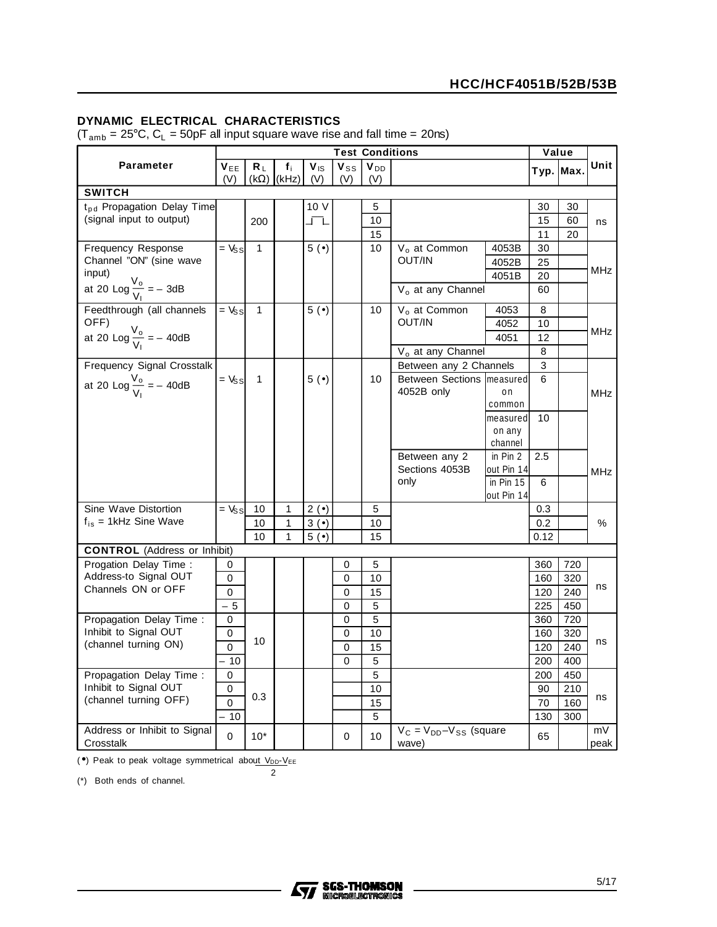#### **DYNAMIC ELECTRICAL CHARACTERISTICS**

 $(T_{amb} = 25^{\circ}C, C_L = 50pF$  all input square wave rise and fall time = 20ns)

|                                                | <b>Test Conditions</b>        |              |                            |                        |                 |                        | Value                                    |                   |      |             |            |
|------------------------------------------------|-------------------------------|--------------|----------------------------|------------------------|-----------------|------------------------|------------------------------------------|-------------------|------|-------------|------------|
| <b>Parameter</b>                               | $V_{EE}$<br>(V)               | $R_L$        | $f_i$<br>$(k\Omega)$ (kHz) | $V_{\text{IS}}$<br>(V) | $V_{SS}$<br>(V) | V <sub>DD</sub><br>(V) |                                          |                   |      | Typ.   Max. | Unit       |
| <b>SWITCH</b>                                  |                               |              |                            |                        |                 |                        |                                          |                   |      |             |            |
| t <sub>pd</sub> Propagation Delay Time         |                               |              |                            | 10 V                   |                 | 5                      |                                          |                   | 30   | 30          |            |
| (signal input to output)                       |                               | 200          |                            | エエ                     |                 | 10                     |                                          |                   | 15   | 60          | ns         |
|                                                |                               |              |                            |                        |                 | 15                     |                                          |                   | 11   | 20          |            |
| Frequency Response                             | $=$ $V_{SS}$                  | $\mathbf{1}$ |                            | 5(                     |                 | 10                     | V <sub>o</sub> at Common                 | 4053B             | 30   |             |            |
| Channel "ON" (sine wave                        |                               |              |                            |                        |                 |                        | OUT/IN                                   | 4052B             | 25   |             |            |
| input)                                         |                               |              |                            |                        |                 |                        |                                          | 4051B             | 20   |             | MHz        |
| at 20 Log $\frac{V_o}{V_l}$ = - 3dB            |                               |              |                            |                        |                 |                        | V <sub>o</sub> at any Channel            |                   | 60   |             |            |
| Feedthrough (all channels                      | $\overline{y} = \overline{y}$ | $\mathbf{1}$ |                            | 5(                     |                 | 10                     | V <sub>o</sub> at Common                 | 4053              | 8    |             |            |
| OFF)                                           |                               |              |                            |                        |                 |                        | OUT/IN                                   | 4052              | 10   |             |            |
| at 20 Log $\frac{V_o}{V_1}$ = -40dB            |                               |              |                            |                        |                 |                        |                                          | 4051              | 12   |             | MHz        |
|                                                |                               |              |                            |                        |                 |                        | V <sub>o</sub> at any Channel            |                   | 8    |             |            |
| Frequency Signal Crosstalk                     |                               |              |                            |                        |                 |                        | Between any 2 Channels                   |                   | 3    |             |            |
| at 20 Log $\frac{V_o}{V_1}$ = -40dB            | $=$ $V_{SS}$                  | $\mathbf{1}$ |                            | 5(•)                   |                 | 10 <sup>°</sup>        | Between Sections   measured              |                   | 6    |             |            |
|                                                |                               |              |                            |                        |                 |                        | 4052B only                               | on                |      |             | <b>MHz</b> |
|                                                |                               |              |                            |                        |                 |                        |                                          | common            |      |             |            |
|                                                |                               |              |                            |                        |                 |                        |                                          | measured          | 10   |             |            |
|                                                |                               |              |                            |                        |                 |                        |                                          | on any<br>channel |      |             |            |
|                                                |                               |              |                            |                        |                 |                        | Between any 2                            | in $Pin 2$        | 2.5  |             |            |
|                                                |                               |              |                            |                        |                 |                        | Sections 4053B                           | out Pin 14        |      |             | MHz        |
|                                                |                               |              |                            |                        |                 |                        | only                                     | in $Pin 15$       | 6    |             |            |
|                                                |                               |              |                            |                        |                 |                        |                                          | out Pin 14        |      |             |            |
| Sine Wave Distortion                           | $=$ $V_{SS}$                  | 10           | 1                          | $2(\bullet)$           |                 | 5                      |                                          |                   | 0.3  |             |            |
| $f_{is}$ = 1kHz Sine Wave                      |                               | 10           | 1                          | 3(•)                   |                 | 10                     |                                          |                   | 0.2  |             | %          |
|                                                |                               | 10           | 1                          | 5(•)                   |                 | 15                     |                                          |                   | 0.12 |             |            |
| <b>CONTROL</b> (Address or Inhibit)            |                               |              |                            |                        |                 |                        |                                          |                   |      |             |            |
| Progation Delay Time:                          | 0                             |              |                            |                        | 0               | 5                      |                                          |                   | 360  | 720         |            |
| Address-to Signal OUT<br>Channels ON or OFF    | 0                             |              |                            |                        | $\mathbf 0$     | 10                     |                                          |                   | 160  | 320         | ns         |
|                                                | 0                             |              |                            |                        | 0               | 15                     |                                          |                   | 120  | 240         |            |
|                                                | $-5$                          |              |                            |                        | $\Omega$        | 5                      |                                          |                   | 225  | 450         |            |
| Propagation Delay Time:                        | 0                             |              |                            |                        | $\Omega$        | 5                      |                                          |                   | 360  | 720         |            |
| Inhibit to Signal OUT                          | 0                             | 10           |                            |                        | $\mathbf 0$     | 10                     |                                          |                   | 160  | 320         | ns         |
| (channel turning ON)                           | 0                             |              |                            |                        | 0               | 15                     |                                          |                   | 120  | 240         |            |
|                                                | 10                            |              |                            |                        | 0               | 5                      |                                          |                   | 200  | 400         |            |
| Propagation Delay Time:                        | 0                             |              |                            |                        |                 | 5                      |                                          |                   | 200  | 450         |            |
| Inhibit to Signal OUT<br>(channel turning OFF) | 0                             | 0.3          |                            |                        |                 | 10                     |                                          |                   | 90   | 210         | ns         |
|                                                | 0                             |              |                            |                        |                 | 15                     |                                          |                   | 70   | 160         |            |
|                                                | $-10$                         |              |                            |                        |                 | 5                      |                                          |                   | 130  | 300         |            |
| Address or Inhibit to Signal<br>Crosstalk      | 0                             | $10*$        |                            |                        | 0               | 10                     | $V_C = V_{DD} - V_{SS}$ (square<br>wave) |                   | 65   |             | mV<br>peak |

 $(•)$  Peak to peak voltage symmetrical about  $V_{DD}$ - $V_{EE}$ 

2

(\*) Both ends of channel.

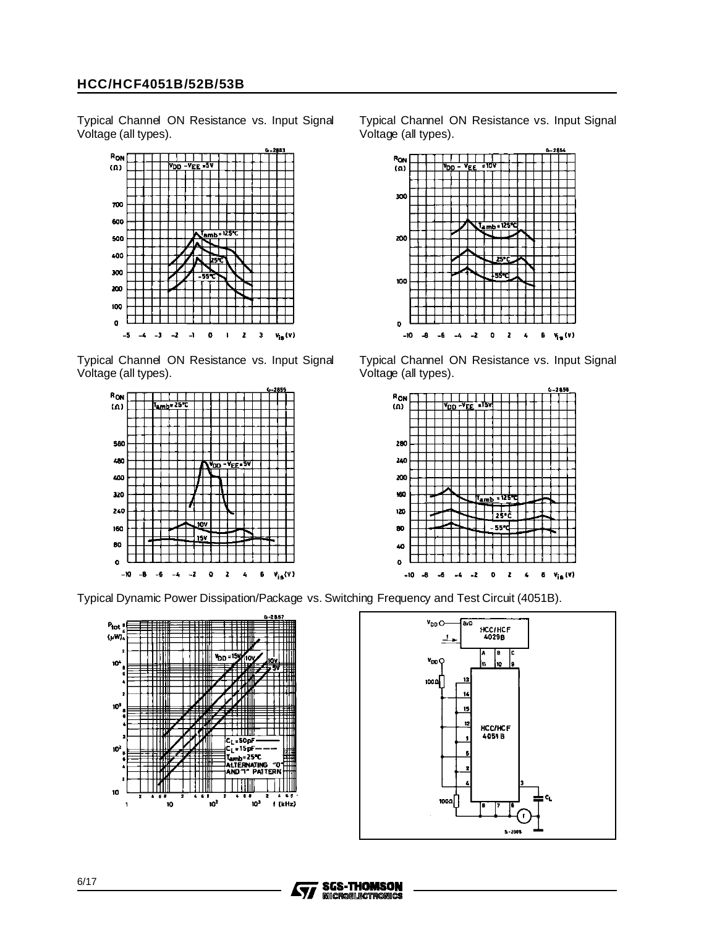Typical Channel ON Resistance vs. Input Signal Voltage (all types).



Typical Channel ON Resistance vs. Input Signal Voltage (all types).



Typical Dynamic Power Dissipation/Package vs. Switching Frequency and Test Circuit (4051B).







100

 $\mathbf{p}$ 

-10 L.  $-6$  $\overline{a}$ -2  $\bullet$  $\overline{\mathbf{z}}$  $\pmb{\epsilon}$ 6

Typical Channel ON Resistance vs. Input Signal Voltage (all types).

v<sub>is</sub> (v)



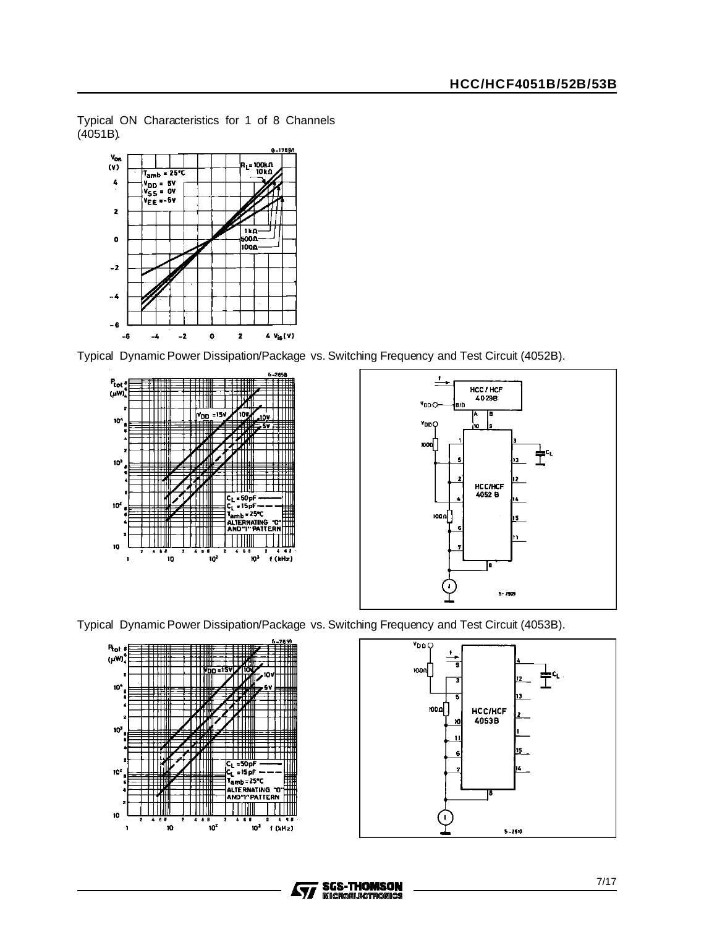Typical ON Characteristics for 1 of 8 Channels (4051B).



Typical Dynamic Power Dissipation/Package vs. Switching Frequency and Test Circuit (4052B).











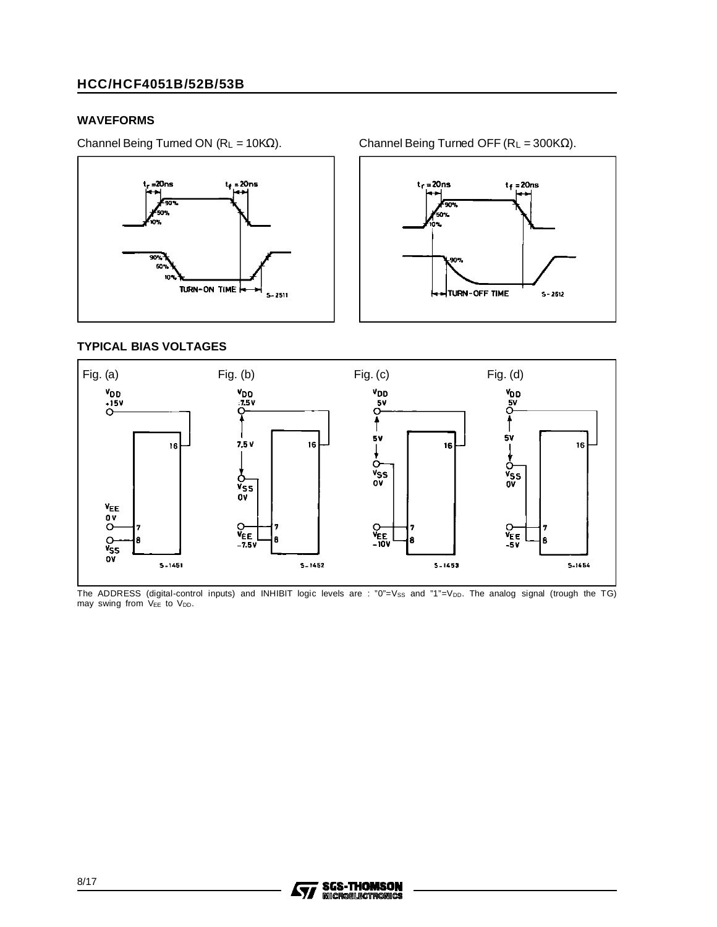#### **WAVEFORMS**

Channel Being Turned ON ( $R_L = 10K\Omega$ ). Channel Being Turned OFF ( $R_L = 300K\Omega$ ).



 $t_f = 20$ ns  $t_f = 20$ ns TURN-OFF TIME  $S - 2512$ 

#### **TYPICAL BIAS VOLTAGES**



The ADDRESS (digital-control inputs) and INHIBIT logic levels are : "0"=Vss and "1"=Vpp. The analog signal (trough the TG) may swing from VEE to VDD.

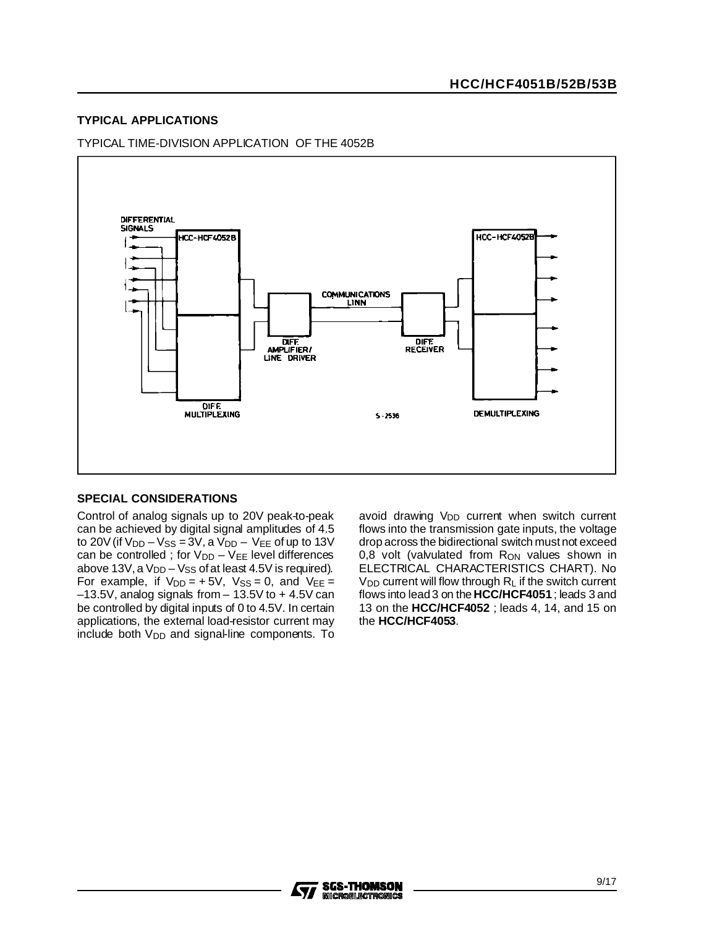#### **TYPICAL APPLICATIONS**

#### TYPICAL TIME-DIVISION APPLICATION OF THE 4052B



#### **SPECIAL CONSIDERATIONS**

Control of analog signals up to 20V peak-to-peak can be achieved by digital signal amplitudes of 4.5 to 20V (if  $V_{DD} - V_{SS} = 3V$ , a  $V_{DD} - V_{EE}$  of up to 13V can be controlled ; for  $V_{DD} - V_{EE}$  level differences above 13V, a  $V_{DD}$  –  $V_{SS}$  of at least 4.5V is required). For example, if  $V_{DD} = +5V$ ,  $V_{SS} = 0$ , and  $V_{EE} =$  $-13.5V$ , analog signals from  $-13.5V$  to  $+4.5V$  can be controlled by digital inputs of 0 to 4.5V. In certain applications, the external load-resistor current may  $include$  both  $V_{DD}$  and signal-line components. To avoid drawing V<sub>DD</sub> current when switch current flows into the transmission gate inputs, the voltage drop across the bidirectional switch mustnot exceed 0,8 volt (valvulated from  $R_{ON}$  values shown in ELECTRICAL CHARACTERISTICS CHART). No  $V_{DD}$  current will flow through  $R_L$  if the switch current flows into lead3 on the **HCC/HCF4051** ; leads 3 and 13 on the **HCC/HCF4052** ; leads 4, 14, and 15 on the **HCC/HCF4053**.

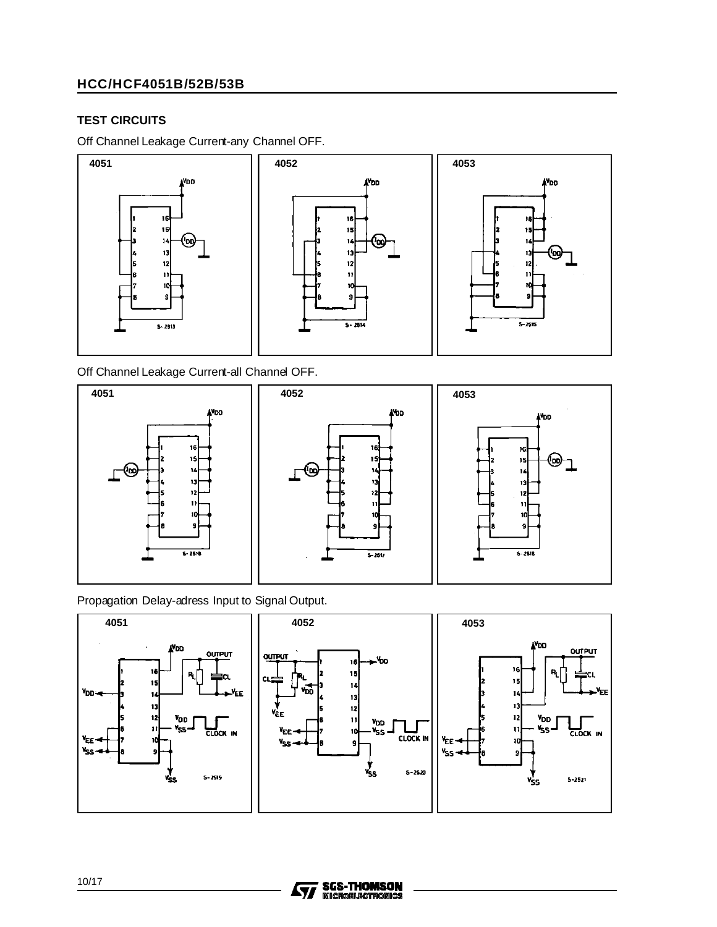#### **TEST CIRCUITS**

Off Channel Leakage Current-any Channel OFF.



Off Channel Leakage Current-all Channel OFF.







Propagation Delay-adress Input to Signal Output.





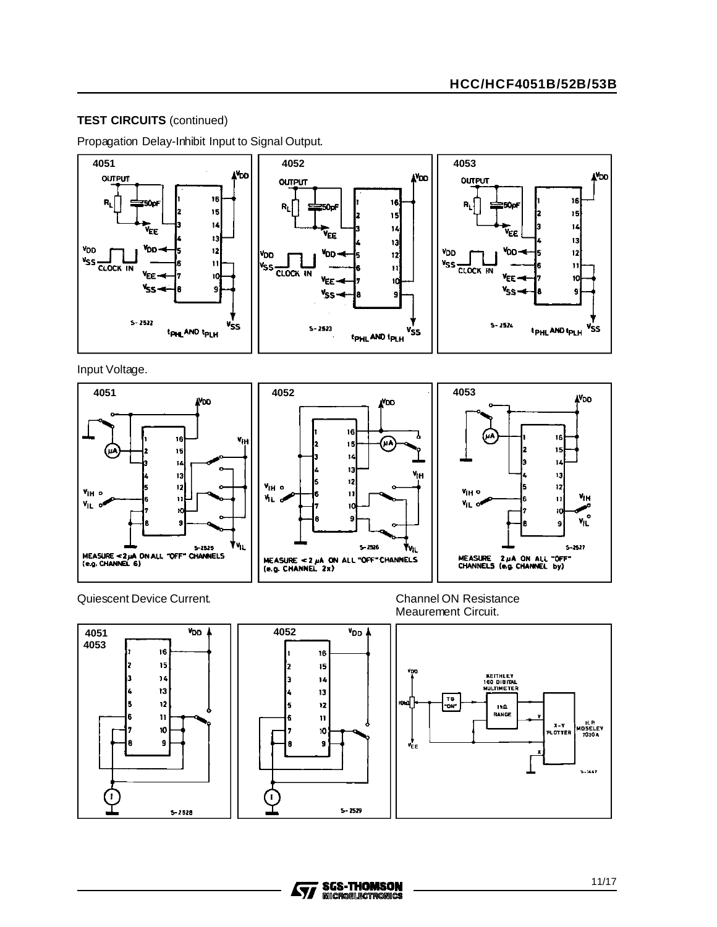### **TEST CIRCUITS** (continued)

Propagation Delay-Inhibit Input to Signal Output.



Input Voltage.



#### Quiescent Device Current. Channel ON Resistance





Meaurement Circuit.



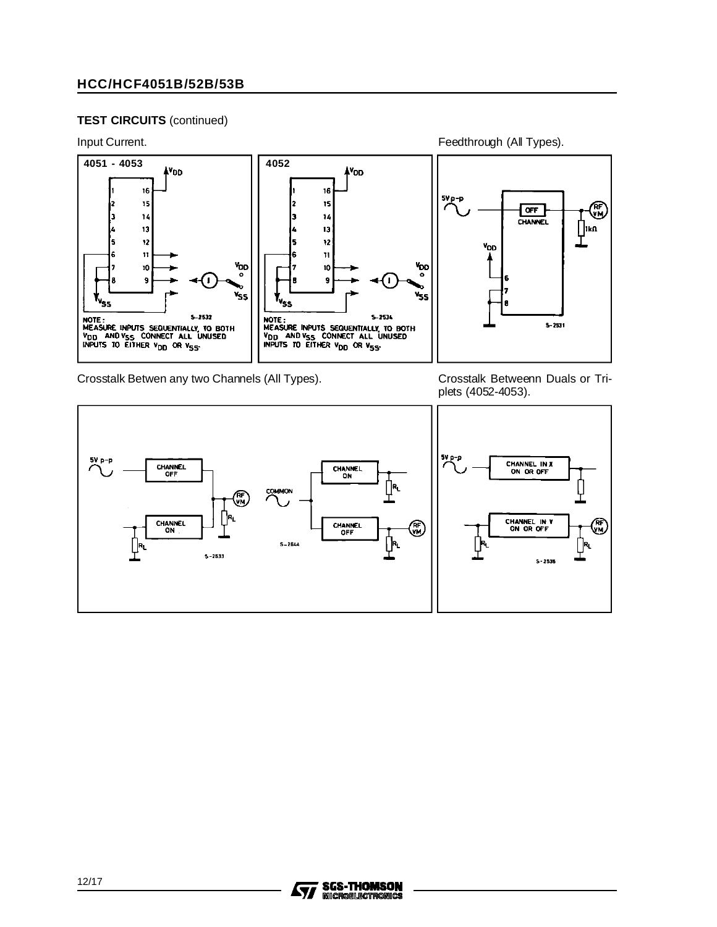#### **TEST CIRCUITS** (continued)



Crosstalk Betwen any two Channels (All Types).

Crosstalk Betweenn Duals or Triplets (4052-4053).



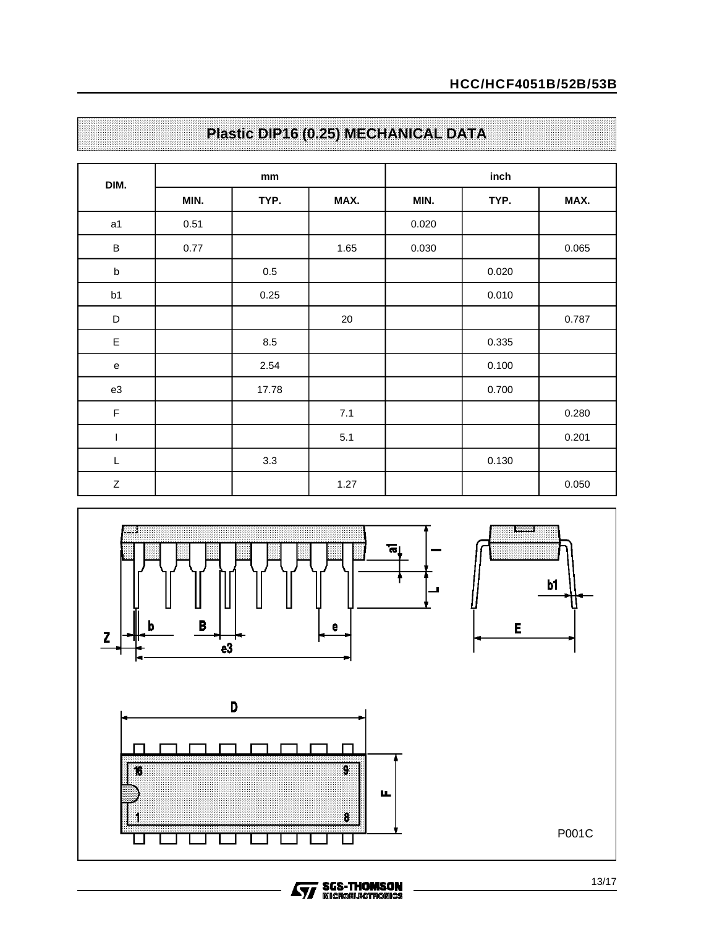| DIM.        |      | $\mathop{\rm mm}\nolimits$ |      | inch  |       |       |  |  |
|-------------|------|----------------------------|------|-------|-------|-------|--|--|
|             | MIN. | TYP.                       | MAX. | MIN.  | TYP.  | MAX.  |  |  |
| a1          | 0.51 |                            |      | 0.020 |       |       |  |  |
| $\sf B$     | 0.77 |                            | 1.65 | 0.030 |       | 0.065 |  |  |
| $\sf b$     |      | $0.5\,$                    |      |       | 0.020 |       |  |  |
| b1          |      | 0.25                       |      |       | 0.010 |       |  |  |
| $\mathsf D$ |      |                            | 20   |       |       | 0.787 |  |  |
| $\mathsf E$ |      | 8.5                        |      |       | 0.335 |       |  |  |
| ${\bf e}$   |      | 2.54                       |      |       | 0.100 |       |  |  |
| e3          |      | 17.78                      |      |       | 0.700 |       |  |  |
| $\mathsf F$ |      |                            | 7.1  |       |       | 0.280 |  |  |
| $\mathsf I$ |      |                            | 5.1  |       |       | 0.201 |  |  |
| $\mathsf L$ |      | 3.3                        |      |       | 0.130 |       |  |  |
| $\mathsf Z$ |      |                            | 1.27 |       |       | 0.050 |  |  |

## **Plastic DIP16 (0.25) MECHANICAL DATA**

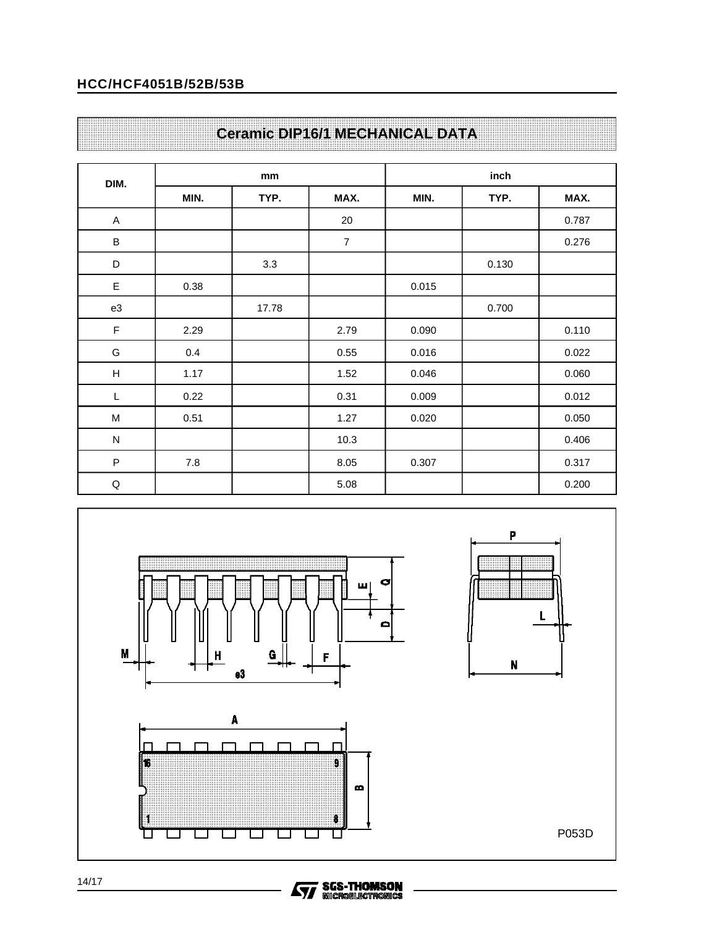## **Ceramic DIP16/1 MECHANICAL DATA**

| DIM.                      |      | mm    |                | inch  |       |       |  |
|---------------------------|------|-------|----------------|-------|-------|-------|--|
|                           | MIN. | TYP.  | MAX.           | MIN.  | TYP.  | MAX.  |  |
| A                         |      |       | 20             |       |       | 0.787 |  |
| $\sf B$                   |      |       | $\overline{7}$ |       |       | 0.276 |  |
| D                         |      | 3.3   |                |       | 0.130 |       |  |
| $\mathsf E$               | 0.38 |       |                | 0.015 |       |       |  |
| e3                        |      | 17.78 |                |       | 0.700 |       |  |
| $\mathsf F$               | 2.29 |       | 2.79           | 0.090 |       | 0.110 |  |
| G                         | 0.4  |       | 0.55           | 0.016 |       | 0.022 |  |
| $\boldsymbol{\mathsf{H}}$ | 1.17 |       | 1.52           | 0.046 |       | 0.060 |  |
| L                         | 0.22 |       | 0.31           | 0.009 |       | 0.012 |  |
| M                         | 0.51 |       | 1.27           | 0.020 |       | 0.050 |  |
| ${\sf N}$                 |      |       | 10.3           |       |       | 0.406 |  |
| $\sf P$                   | 7.8  |       | 8.05           | 0.307 |       | 0.317 |  |
| $\mathsf Q$               |      |       | 5.08           |       |       | 0.200 |  |



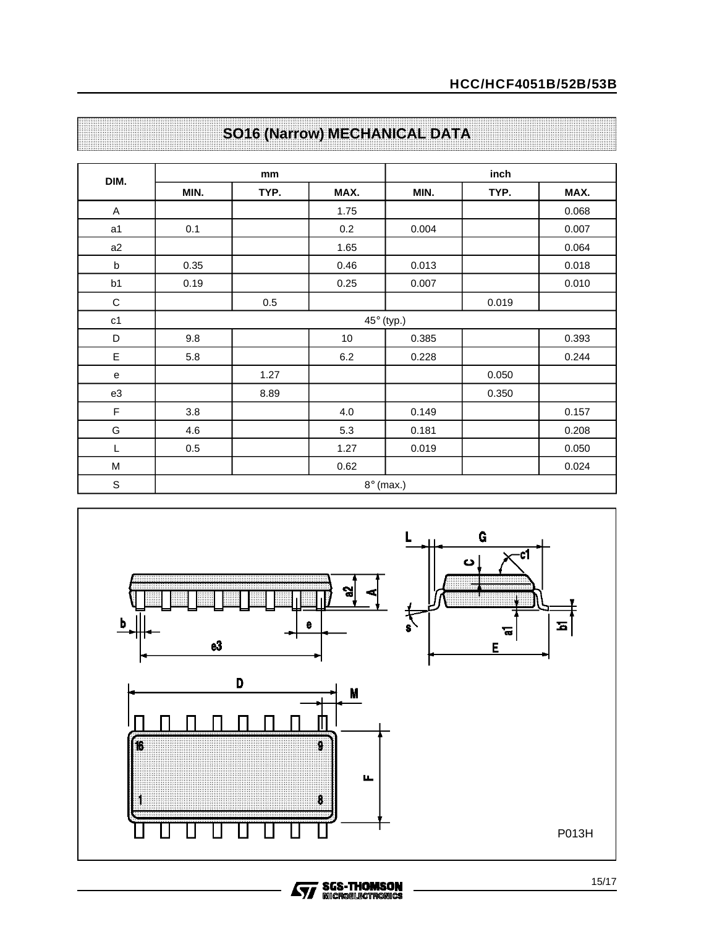| DIM.           |                  | mm         |      | inch  |       |       |  |  |  |  |
|----------------|------------------|------------|------|-------|-------|-------|--|--|--|--|
|                | MIN.             | TYP.       | MAX. | MIN.  | TYP.  | MAX.  |  |  |  |  |
| A              |                  |            | 1.75 |       |       | 0.068 |  |  |  |  |
| a1             | 0.1              |            | 0.2  | 0.004 |       | 0.007 |  |  |  |  |
| a2             |                  |            | 1.65 |       |       | 0.064 |  |  |  |  |
| $\sf b$        | 0.35             |            | 0.46 | 0.013 |       | 0.018 |  |  |  |  |
| b1             | 0.19             |            | 0.25 | 0.007 |       | 0.010 |  |  |  |  |
| C              |                  | 0.5        |      |       | 0.019 |       |  |  |  |  |
| c <sub>1</sub> |                  | 45° (typ.) |      |       |       |       |  |  |  |  |
| D              | 9.8              |            | 10   | 0.385 |       | 0.393 |  |  |  |  |
| E              | 5.8              |            | 6.2  | 0.228 |       | 0.244 |  |  |  |  |
| e              |                  | 1.27       |      |       | 0.050 |       |  |  |  |  |
| e3             |                  | 8.89       |      |       | 0.350 |       |  |  |  |  |
| F              | 3.8              |            | 4.0  | 0.149 |       | 0.157 |  |  |  |  |
| G              | 4.6              |            | 5.3  | 0.181 |       | 0.208 |  |  |  |  |
| L              | 0.5              |            | 1.27 | 0.019 |       | 0.050 |  |  |  |  |
| M              |                  |            | 0.62 |       |       | 0.024 |  |  |  |  |
| $\mathbb S$    | $8^\circ$ (max.) |            |      |       |       |       |  |  |  |  |

## **SO16 (Narrow) MECHANICAL DATA**



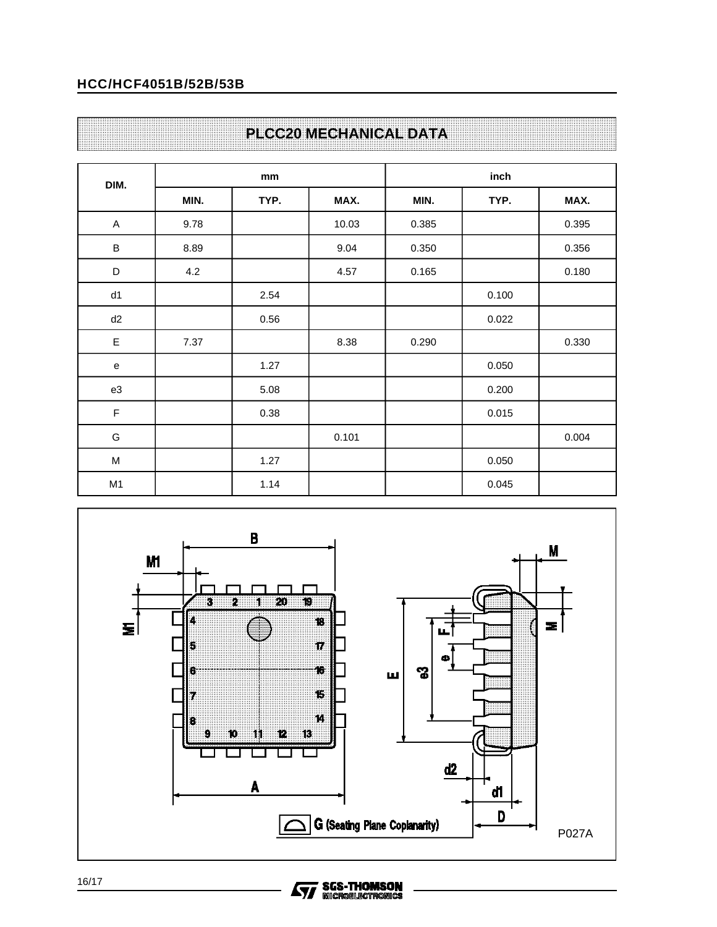## **PLCC20 MECHANICAL DATA**

| DIM.                                                                                                       |      | mm   |       | inch  |       |       |  |
|------------------------------------------------------------------------------------------------------------|------|------|-------|-------|-------|-------|--|
|                                                                                                            | MIN. | TYP. | MAX.  | MIN.  | TYP.  | MAX.  |  |
| A                                                                                                          | 9.78 |      | 10.03 | 0.385 |       | 0.395 |  |
| $\sf B$                                                                                                    | 8.89 |      | 9.04  | 0.350 |       | 0.356 |  |
| $\mathsf D$                                                                                                | 4.2  |      | 4.57  | 0.165 |       | 0.180 |  |
| d1                                                                                                         |      | 2.54 |       |       | 0.100 |       |  |
| d2                                                                                                         |      | 0.56 |       |       | 0.022 |       |  |
| E                                                                                                          | 7.37 |      | 8.38  | 0.290 |       | 0.330 |  |
| e                                                                                                          |      | 1.27 |       |       | 0.050 |       |  |
| e3                                                                                                         |      | 5.08 |       |       | 0.200 |       |  |
| $\mathsf F$                                                                                                |      | 0.38 |       |       | 0.015 |       |  |
| G                                                                                                          |      |      | 0.101 |       |       | 0.004 |  |
| $\mathsf{M}% _{T}=\mathsf{M}_{T}\!\left( a,b\right) ,\ \mathsf{M}_{T}=\mathsf{M}_{T}\!\left( a,b\right) ,$ |      | 1.27 |       |       | 0.050 |       |  |
| M <sub>1</sub>                                                                                             |      | 1.14 |       |       | 0.045 |       |  |